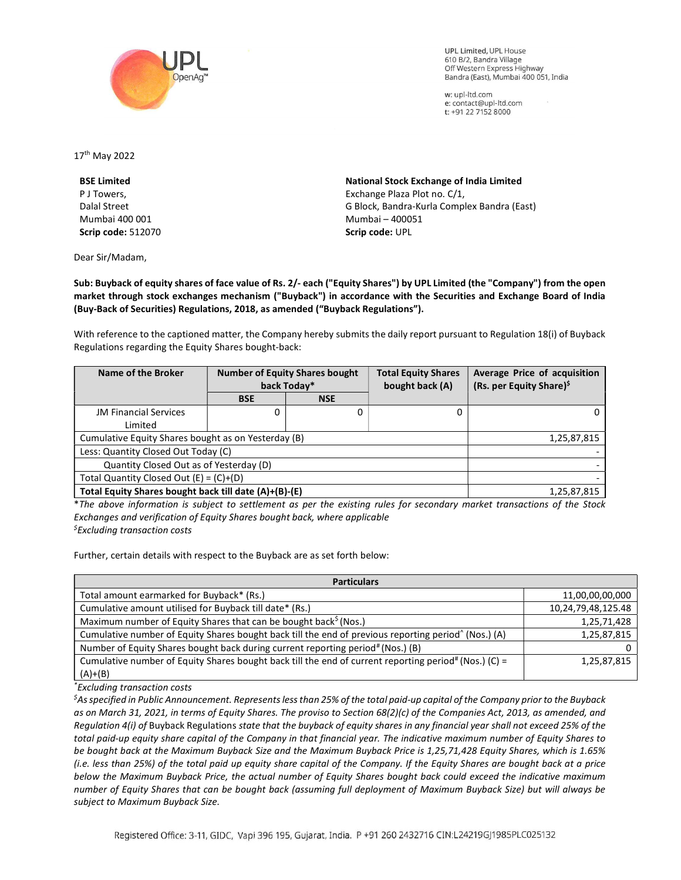

**UPL Limited. UPL House** 610 B/2, Bandra Village Off Western Express Highway Bandra (East), Mumbai 400 051, India

w: upl-ltd.com e: contact@upl-ltd.com t: +91 22 7152 8000

17th May 2022

BSE Limited P J Towers, Dalal Street Mumbai 400 001 Scrip code: 512070

Dear Sir/Madam,

National Stock Exchange of India Limited Exchange Plaza Plot no. C/1, G Block, Bandra-Kurla Complex Bandra (East) Mumbai – 400051 Scrip code: UPL

Sub: Buyback of equity shares of face value of Rs. 2/- each ("Equity Shares") by UPL Limited (the "Company") from the open market through stock exchanges mechanism ("Buyback") in accordance with the Securities and Exchange Board of India (Buy-Back of Securities) Regulations, 2018, as amended ("Buyback Regulations").

With reference to the captioned matter, the Company hereby submits the daily report pursuant to Regulation 18(i) of Buyback Regulations regarding the Equity Shares bought-back:

| Name of the Broker                                    | <b>Number of Equity Shares bought</b><br>back Today* |            | <b>Total Equity Shares</b><br>bought back (A) | Average Price of acquisition<br>(Rs. per Equity Share) <sup>\$</sup> |
|-------------------------------------------------------|------------------------------------------------------|------------|-----------------------------------------------|----------------------------------------------------------------------|
|                                                       | <b>BSE</b>                                           | <b>NSE</b> |                                               |                                                                      |
| <b>JM Financial Services</b>                          | 0                                                    | 0          | 0                                             | 0                                                                    |
| Limited                                               |                                                      |            |                                               |                                                                      |
| Cumulative Equity Shares bought as on Yesterday (B)   |                                                      |            |                                               | 1,25,87,815                                                          |
| Less: Quantity Closed Out Today (C)                   |                                                      |            |                                               |                                                                      |
| Quantity Closed Out as of Yesterday (D)               |                                                      |            |                                               |                                                                      |
| Total Quantity Closed Out $(E) = (C)+(D)$             |                                                      |            |                                               |                                                                      |
| Total Equity Shares bought back till date (A)+(B)-(E) |                                                      |            |                                               | 1,25,87,815                                                          |

\*The above information is subject to settlement as per the existing rules for secondary market transactions of the Stock Exchanges and verification of Equity Shares bought back, where applicable  $<sup>5</sup>$ Excluding transaction costs</sup>

Further, certain details with respect to the Buyback are as set forth below:

| <b>Particulars</b>                                                                                               |                    |  |  |  |
|------------------------------------------------------------------------------------------------------------------|--------------------|--|--|--|
| Total amount earmarked for Buyback* (Rs.)                                                                        | 11,00,00,00,000    |  |  |  |
| Cumulative amount utilised for Buyback till date* (Rs.)                                                          | 10,24,79,48,125.48 |  |  |  |
| Maximum number of Equity Shares that can be bought back <sup>§</sup> (Nos.)                                      | 1,25,71,428        |  |  |  |
| Cumulative number of Equity Shares bought back till the end of previous reporting period <sup>^</sup> (Nos.) (A) | 1,25,87,815        |  |  |  |
| Number of Equity Shares bought back during current reporting period# (Nos.) (B)                                  | 0                  |  |  |  |
| Cumulative number of Equity Shares bought back till the end of current reporting period# (Nos.) (C) =            | 1,25,87,815        |  |  |  |
| $(A)+(B)$                                                                                                        |                    |  |  |  |

\*Excluding transaction costs

 ${}^5$ As specified in Public Announcement. Represents less than 25% of the total paid-up capital of the Company prior to the Buyback as on March 31, 2021, in terms of Equity Shares. The proviso to Section 68(2)(c) of the Companies Act, 2013, as amended, and Regulation 4(i) of Buyback Regulations state that the buyback of equity shares in any financial year shall not exceed 25% of the total paid-up equity share capital of the Company in that financial year. The indicative maximum number of Equity Shares to be bought back at the Maximum Buyback Size and the Maximum Buyback Price is 1,25,71,428 Equity Shares, which is 1.65% (i.e. less than 25%) of the total paid up equity share capital of the Company. If the Equity Shares are bought back at a price below the Maximum Buyback Price, the actual number of Equity Shares bought back could exceed the indicative maximum number of Equity Shares that can be bought back (assuming full deployment of Maximum Buyback Size) but will always be subject to Maximum Buyback Size.